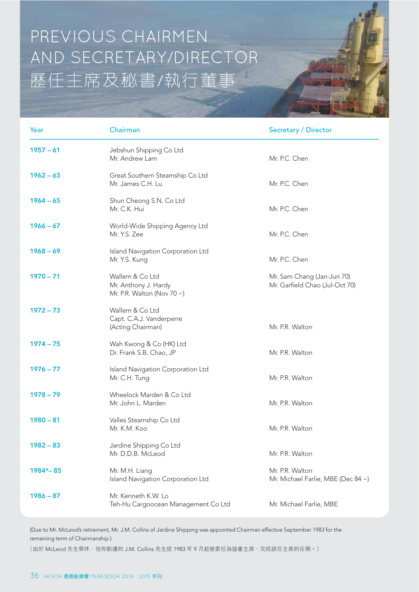## PREVIOUS CHAIRMEN AND SECRETARY/DIRECTOR 歷任主席及秘書/執行董事

| Year        | Chairman                                                                    | <b>Secretary / Director</b>                                  |
|-------------|-----------------------------------------------------------------------------|--------------------------------------------------------------|
| $1957 - 61$ | Jebshun Shipping Co Ltd<br>Mr. Andrew Lam                                   | Mr. P.C. Chen                                                |
| $1962 - 63$ | Great Southern Steamship Co Ltd<br>Mr. James C.H. Lu                        | Mr. P.C. Chen                                                |
| $1964 - 65$ | Shun Cheong S.N. Co Ltd<br>Mr. C.K. Hui                                     | Mr. P.C. Chen                                                |
| $1966 - 67$ | World-Wide Shipping Agency Ltd<br>Mr. Y.S. Zee                              | Mr. P.C. Chen                                                |
| $1968 - 69$ | Island Navigation Corporation Ltd<br>Mr. Y.S. Kung                          | Mr. P.C. Chen                                                |
| $1970 - 71$ | Wallem & Co Ltd<br>Mr. Anthony J. Hardy<br>Mr. P.R. Walton (Nov 70 $\sim$ ) | Mr. Sam Chang (Jan-Jun 70)<br>Mr. Garfield Chao (Jul-Oct 70) |
| $1972 - 73$ | Wallem & Co Ltd<br>Capt. C.A.J. Vanderperre<br>(Acting Chairman)            | Mr. P.R. Walton                                              |
| $1974 - 75$ | Wah Kwong & Co (HK) Ltd<br>Dr. Frank S.B. Chao, JP                          | Mr. P.R. Walton                                              |
| $1976 - 77$ | Island Navigation Corporation Ltd<br>Mr. C.H. Tung                          | Mr. P.R. Walton                                              |
| $1978 - 79$ | Wheelock Marden & Co Ltd<br>Mr. John L. Marden                              | Mr. P.R. Walton                                              |
| $1980 - 81$ | Valles Steamship Co Ltd<br>Mr. K.M. Koo                                     | Mr. P.R. Walton                                              |
| $1982 - 83$ | Jardine Shipping Co Ltd<br>Mr. D.D.B. McLeod                                | Mr. P.R. Walton                                              |
| $1984 - 85$ | Mr. M.H. Liang<br>Island Navigation Corporation Ltd                         | Mr. P.R. Walton<br>Mr. Michael Farlie, MBE (Dec 84 ~)        |
| $1986 - 87$ | Mr. Kenneth K.W. Lo<br>Teh-Hu Cargoocean Management Co Ltd                  | Mr. Michael Farlie, MBE                                      |

(Due to Mr. McLeod's retirement, Mr. J.M. Collins of Jardine Shipping was appointed Chairman effective September 1983 for the remaining term of Chairmanship.)

(由於 McLeod 先生榮休, 怡和航運的 J.M. Collins 先生從 1983 年 9 月起被委任為協會主席, 完成該任主席的任期。)